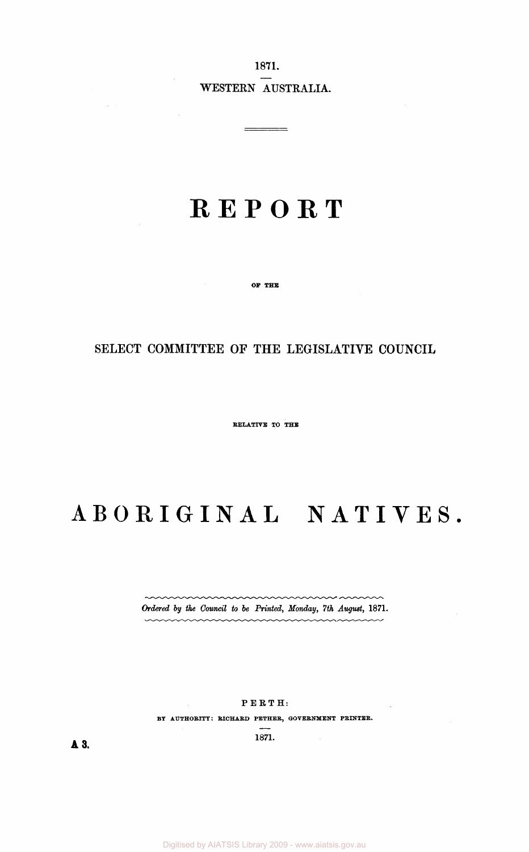1871. WESTERN AUSTRALIA.

## **REPOR T**

OF THE

### SELECT COMMITTEE OF THE LEGISLATIVE COUNCIL

RELATIVE TO THE

# **ABORIGINA L NATIVES .**

*Ordered by the Council to be Printed, Monday, 7th August,* 1871.

mmmmmm

PERTH :

 $\mathcal{A}$ 

BY AUTHORITY: RICHARD PETHER, GOVERNMENT PRINTER

1871.

**A 3 .** 

 $\mathcal{L}_{\mathcal{L}}$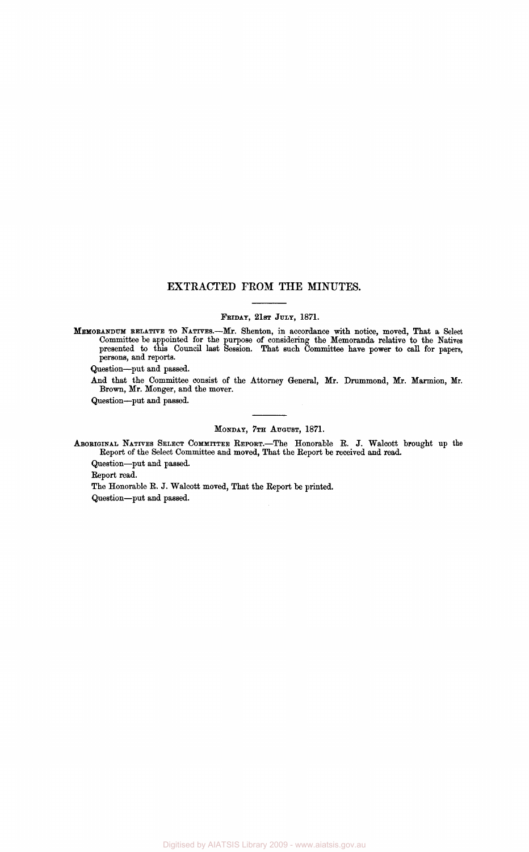#### **EXTRACTED FROM THE MINUTES.**

#### FRIDAY, 21ST JULY, 1871.

MEMORANDUM RELATIVE TO NATIVES.—Mr. Shenton, in accordance with notice, moved, That a Select Committee be appointed for the purpose of considering the Memoranda relative to the Natives presented to this Council last Session. That such Committee have power to call for papers, persons, and reports.

Question—put and passed.

And that the Committee consist of the Attorney General, Mr. Drummond, Mr. Marmion, Mr. Brown, Mr. Monger, and the mover.

Question—put and passed.

#### MONDAY, 7TH AUGUST, 1871.

ABORIGINAL NATIVES SELECT COMMITTEE REPORT.—The Honorable R. J. Walcott brought up the Report of the Select Committee and moved, That the Report be received and read.

Question—put and passed.

Report read.

The Honorable R. J. Walcott moved, That the Report be printed. Question—put and passed.